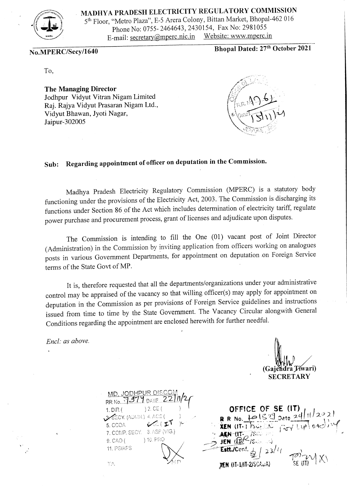

**MADHYA PRADESH ELECTRICITY REGULATORY COMMISSION** 

<sup>5</sup>th Floor, "Metro Plaza", E-5 Arera Colony, Bittan Market, Bhopal-462016 Phone No: 0755- 2464643, 2430154, Fax No: 2981055<br>mail: secretary@mperc.nic.in Website: www.mperc.in E-mail: secretary@mperc.nic.in

**No.MPERC/Secy/1640** 

**Bhopal Dated: 27th October 2021** 

To,

**The Managing Director**  Jodhpur Vidyut Vitran Nigam Limited Raj. Rajya Vidyut Prasaran Nigam Ltd., Vidyut Bhawan, Jyoti Nagar, Jaipur-302005



## **Sub: Regarding appointment of officer on deputation in the Commission.**

Madhya Pradesh Electricity Regulatory Commission (MPERC) is a statutory body functioning under the provisions of the Electricity Act, 2003. The Commission is discharging its functions under Section 86 of the Act which includes determination of electricity tariff, regulate power purchase and procurement process, grant of licenses and adjudicate upon disputes.

The Commission is intending to fill the One (01) vacant post of Joint Director (Administration) in the Commission by inviting application from officers working on analogues posts in various Government Departments, for appointment on deputation .on Foreign Service terms of the State Govt of MP.

It is, therefore requested that all the departments/organizations under your administrative control may be appraised of the vacancy so that willing officer(s) may apply for appointment on deputation in the Commission as per provisions of Foreign Service guidelines and instructions issued from time to time by the State Government. The Vacancy Circular alongwith General Conditions regarding the appointment are enclosed herewith for further needful.

*Encl: as above.* 

(Gajendra Tíwari) **SECRETARY** 

| MD. JODHPUR DISCOM<br>RR No. 1979 DATE 22/11/2 |
|------------------------------------------------|
|                                                |
| $) 2.$ CE (<br>1. DIR (                        |
| 3-SECY. (ADMIN.) 4. ACE (                      |
| 65.7<br>5. CCOA                                |
| 7. COMP. SECY. 8. ASP (VIG.)                   |
| ) 10. PRO<br>9. CAO (                          |
| 11. PS/APS                                     |
|                                                |
| t A                                            |
|                                                |

OFFICE OF SE (IT) R R No.  $10^{1529}$  Date  $24/11/22$ **XEN**  $(II - I)$ SULED  $G_{TV}$  Lyp/04 $\mathcal{O}$ AEN (IT-780) tt./Conf.  $23/4$ XEN (IT-1/IT-2/SCAUA)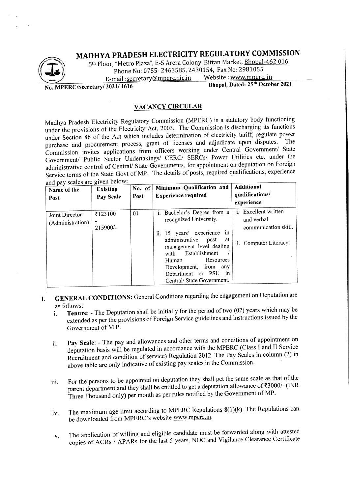### **MADHYA PRADESH ELECTRICITY REGULATORY COMMISSION**



5th Floor, "Metro Plaza", E-5 Arera Colony, Bittan Market, Bhopal-462 016 Phone No: 0755- 2463585, 2430154, Fax No: 2981055<br>mail :secretary@mnerc.nic.in Website : www.mperc. in

E-mail :secretary@mperc.nic.in

**No. MPERC/Secretary/ 2021/ 1616** 

**Bhopal, Dated: 25th October 2021** 

#### **VACANCY CIRCULAR**

Madhya Pradesh Electricity Regulatory Commission (MPERC) is a statutory body functioning under the provisions of the Electricity Act, 2003. The Commission is discharging its functions under Section 86 of the Act which includes determination of electricity tariff, regulate power purchase and procurement process, grant of licenses and adjudicate upon disputes. Commission invites applications from officers working under Central Government/ State Government/ Public Sector Undertakings/ CERC/ SERCs/ Power Utilities etc. under the administrative control of Central/ State Governments, for appointment on deputation on Foreign Service terms of the State Govt of MP. The details of posts, required qualifications, experience and nay scales are given below:

| ally pay searcs are given below.<br>Name of the<br>Post | <b>Existing</b><br>Pay Scale          | No. of<br>Post | Minimum Qualification and<br><b>Experience required</b>                                                                                                                                                                                                                                  | Additional<br>qualifications/<br>experience                                                 |
|---------------------------------------------------------|---------------------------------------|----------------|------------------------------------------------------------------------------------------------------------------------------------------------------------------------------------------------------------------------------------------------------------------------------------------|---------------------------------------------------------------------------------------------|
| Joint Director<br>(Administration)                      | ₹123100<br>$\blacksquare$<br>215900/- | 01             | <i>i.</i> Bachelor's Degree from a<br>recognized University.<br>ii. 15 years' experience<br>in<br>administrative<br>at<br>post<br>management level dealing<br>with Establishment<br>Resources<br>Human<br>Development, from any<br>Department or PSU<br>in<br>Central/ State Government. | <i>i.</i> Excellent written<br>and verbal<br>communication skill.<br>ii. Computer Literacy. |

I. **GENERAL CONDITIONS:** General Conditions regarding the engagement on Deputation are as follows:

- i. **Tenure:** The Deputation shall be initially for the period of two (02) years which may be extended as per the provisions of Foreign Service guidelines and instructions issued by the Government of M.P.
- ii. **Pay Scale:** The pay and allowances and other terms and conditions of appointment on deputation basis will be regulated in accordance with the MPERC (Class I and II Service Recruitment and condition of service) Regulation 2012. The Pay Scales in column (2) in above table are only indicative of existing pay scales in the Commission.
- iii. For the persons to be appointed on deputation they shall get the same scale as that of the parent department and they shall be entitled to get a deputation allowance of  $\text{\textless}3000$ /- (INR Three Thousand only) per month as per rules notified by the Government of MP.
- iv. The maximum age limit according to MPERC Regulations 8(1)(k). The Regulations can be downloaded from MPERC's website www.mperc.in.
- v. The application of willing and eligible candidate must be forwarded along with attested copies of ACRs / APARs for the last 5 years, NOC and Vigilance Clearance Certificate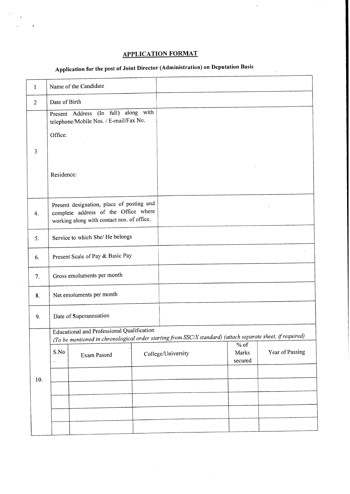### **APPLICATION FORMAT**

 $\ddot{\phantom{a}}$ 

# **Application for the post of Joint Director (Administration) on Deputation Basis**

 $\ddot{\phantom{0}}$ 

 $\bar{z}$ 

| $\mathbf{1}$ |                                                                                                                                                          | Name of the Candidate                                                          |  |                    |                            |                 |
|--------------|----------------------------------------------------------------------------------------------------------------------------------------------------------|--------------------------------------------------------------------------------|--|--------------------|----------------------------|-----------------|
| 2            | Date of Birth                                                                                                                                            |                                                                                |  |                    |                            |                 |
|              |                                                                                                                                                          | Present Address (In full) along with<br>telephone/Mobile Nos. / E-mail/Fax No. |  |                    |                            |                 |
|              | Office:                                                                                                                                                  |                                                                                |  |                    |                            |                 |
| 3            |                                                                                                                                                          |                                                                                |  |                    |                            |                 |
|              | Residence:                                                                                                                                               |                                                                                |  |                    |                            |                 |
| 4.           | Present designation, place of posting and<br>complete address of the Office where<br>working along with contact nos. of office.                          |                                                                                |  |                    |                            |                 |
| 5.           | Service to which She/ He belongs                                                                                                                         |                                                                                |  |                    |                            |                 |
| 6.           | Present Scale of Pay & Basic Pay                                                                                                                         |                                                                                |  |                    |                            |                 |
| 7.           | Gross emoluments per month                                                                                                                               |                                                                                |  |                    |                            |                 |
| 8.           | Net emoluments per month                                                                                                                                 |                                                                                |  |                    |                            |                 |
| 9.           | Date of Superannuation                                                                                                                                   |                                                                                |  |                    |                            |                 |
|              | Educational and Professional Qualification<br>(To be mentioned in chronological order starting from SSC/X standard) (attach separate sheet, if required) |                                                                                |  |                    |                            |                 |
|              | S.No                                                                                                                                                     | Exam Passed                                                                    |  | College/University | $%$ of<br>Marks<br>secured | Year of Passing |
| 10.          |                                                                                                                                                          |                                                                                |  |                    |                            |                 |
|              |                                                                                                                                                          |                                                                                |  |                    |                            |                 |
|              |                                                                                                                                                          |                                                                                |  |                    |                            |                 |
|              |                                                                                                                                                          |                                                                                |  |                    |                            |                 |
|              |                                                                                                                                                          |                                                                                |  |                    |                            |                 |

 $\frac{1}{2}$